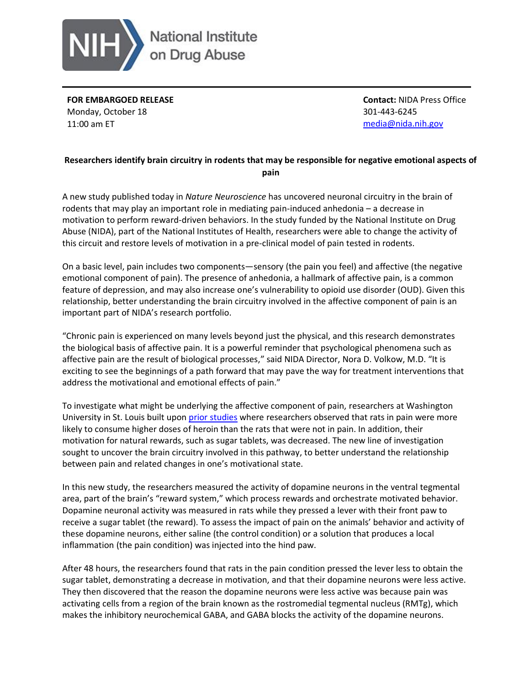

**FOR EMBARGOED RELEASE** Monday, October 18 11:00 am ET

**Contact:** NIDA Press Office 301-443-6245 [media@nida.nih.gov](mailto:media@nida.nih.gov)

## **Researchers identify brain circuitry in rodents that may be responsible for negative emotional aspects of pain**

A new study published today in *Nature Neuroscience* has uncovered neuronal circuitry in the brain of rodents that may play an important role in mediating pain-induced anhedonia – a decrease in motivation to perform reward-driven behaviors. In the study funded by the National Institute on Drug Abuse (NIDA), part of the National Institutes of Health, researchers were able to change the activity of this circuit and restore levels of motivation in a pre-clinical model of pain tested in rodents.

On a basic level, pain includes two components—sensory (the pain you feel) and affective (the negative emotional component of pain). The presence of anhedonia, a hallmark of affective pain, is a common feature of depression, and may also increase one's vulnerability to opioid use disorder (OUD). Given this relationship, better understanding the brain circuitry involved in the affective component of pain is an important part of NIDA's research portfolio.

"Chronic pain is experienced on many levels beyond just the physical, and this research demonstrates the biological basis of affective pain. It is a powerful reminder that psychological phenomena such as affective pain are the result of biological processes," said NIDA Director, Nora D. Volkow, M.D. "It is exciting to see the beginnings of a path forward that may pave the way for treatment interventions that address the motivational and emotional effects of pain."

To investigate what might be underlying the affective component of pain, researchers at Washington University in St. Louis built upon [prior studies](https://www.jneurosci.org/content/35/35/12217) where researchers observed that rats in pain were more likely to consume higher doses of heroin than the rats that were not in pain. In addition, their motivation for natural rewards, such as sugar tablets, was decreased. The new line of investigation sought to uncover the brain circuitry involved in this pathway, to better understand the relationship between pain and related changes in one's motivational state.

In this new study, the researchers measured the activity of dopamine neurons in the ventral tegmental area, part of the brain's "reward system," which process rewards and orchestrate motivated behavior. Dopamine neuronal activity was measured in rats while they pressed a lever with their front paw to receive a sugar tablet (the reward). To assess the impact of pain on the animals' behavior and activity of these dopamine neurons, either saline (the control condition) or a solution that produces a local inflammation (the pain condition) was injected into the hind paw.

After 48 hours, the researchers found that rats in the pain condition pressed the lever less to obtain the sugar tablet, demonstrating a decrease in motivation, and that their dopamine neurons were less active. They then discovered that the reason the dopamine neurons were less active was because pain was activating cells from a region of the brain known as the rostromedial tegmental nucleus (RMTg), which makes the inhibitory neurochemical GABA, and GABA blocks the activity of the dopamine neurons.